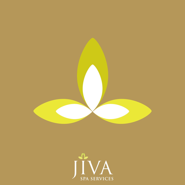

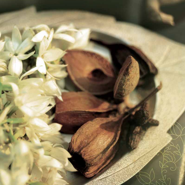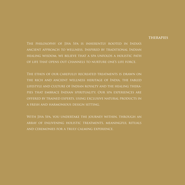#### **THERAPIES**

The philosophy of Jiva Spa is inherently rooted in India's ancient approach to wellness. Inspired by traditional Indian healing wisdom, we believe that a spa unfolds a holistic path of life that opens out channels to nurture one's life force.

The ethos of our carefully recreated treatments is drawn on the rich and ancient wellness heritage of India, the fabled lifestyle and culture of Indian royalty and the healing therapies that embrace Indian spirituality. Our spa experiences are offered by trained experts, using exclusive natural products in a fresh and harmonious design setting.

With Jiva Spa, you undertake the journey within, through an array of enlivening holistic treatments, meaningful rituals and ceremonies for a truly calming experience.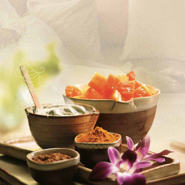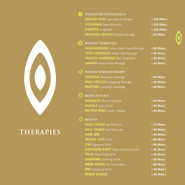|           | <b>MEWAR KHAS</b> Speciality of Mewar        |
|-----------|----------------------------------------------|
|           | <b>VISHRĀMA</b> Deep Muscular                |
|           | <b>JIVANIYA</b> Invigorate                   |
|           | <b>PEHLWAN MALISH Warrior Massage</b>        |
|           | <b>INDIAN THERAPIES</b>                      |
|           | <b>SAMMARDANA</b> Indian Deep Tissue Massage |
|           | PĀDA MARDANĀ Indian Foot Massage             |
|           | <b>PRISHTA MARDANA</b> Back Treatment        |
|           | <b>CHAMPI Indian Head Massage</b>            |
|           | <b>INDIAN AROMATHERAPY</b>                   |
|           | <b>VISHRAM</b> Relaxation Massage            |
|           | <b>ORJA DAYAKA</b> Energising Massage        |
|           | PAVITHRI Lymphatic Drainage                  |
|           | <b>BODY RITUALS</b>                          |
|           | <b>NARIKELA</b> House Favourite              |
|           | <b>MASĀLĀ</b> Spice Scrub                    |
|           | <b>PRITHVI MRIT Earth's Nectar</b>           |
|           | <b>BEAUTY</b>                                |
|           | PĀDA SNĀNĀ Spa Pedicure                      |
|           | <b>HAST SNĀNĀ Spa Manicure</b>               |
| THERAPIES | <b>HAIR SPA</b>                              |
|           | <b>ĀNANA LEPĀ</b> Facial                     |
|           | <b>JIVA</b> Signature Facial                 |
|           | <b>JAMAROSA ROOT</b> Deep Cleansing Facial   |
|           | <b>TULSI</b> Nourishing Facial               |
|           | <b>CHAMPAK</b> Soothing Facial               |
|           |                                              |

**SIGNATURE EXPERIENCES** 

 $(120$  Mins) (120 Mins) (90 Mins) age

(120 Mins)

(60 Mins) (60 Mins)

(60 Mins) (45 Mins)

 $(60$  Mins) (60 Mins) (60 Mins)



# (45 Mins)

 $(45$  Mins) (45 Mins)

| PADA SNANA Spa Pedicure                    | (75 Mins)      |
|--------------------------------------------|----------------|
| <b>HAST SNĀNĀ Spa Manicure</b>             | $(60$ Mins)    |
| <b>HAIR SPA</b>                            | (90 Mins)      |
| <b>ANANA LEPA Facial</b>                   | $(60$ Mins $)$ |
| <b>JIVA</b> Signature Facial               | $(90$ Mins)    |
| <b>JAMAROSA ROOT</b> Deep Cleansing Facial | $(60$ Mins)    |
| <b>TULSI</b> Nourishing Facial             | $(60$ Mins $)$ |
| <b>CHAMPAK</b> Soothing Facial             | $(60$ Mins)    |
| <b>NEEM FACIAL For Gentlemen</b>           | $(60$ Mins $)$ |
| <b>SPA</b> Energising Facial               | $(30$ Mins)    |
| <b>SHAVE STUDIO</b>                        | (45 Mins)      |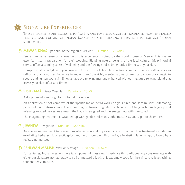

THESE TREATMENTS ARE EXCLUSIVE TO JIVA SPA AND HAVE BEEN CAREFULLY RECREATED FROM THE FABLED LIFESTYLE AND CULTURE OF INDIAN ROYALTY AND THE HEALING THERAPIES THAT EMBRACE INDIAN SPIRITUALITY.

### (1) MEWAR KHAS Speciality of the region of Mewar Duration - 120 Mins

Feel an immense sense of renewal with this experience inspired by the Royal House of Mewar. This was an essential ritual in preparation for their wedding. Blending natural delights of the local culture, this primordial service offers a calming sense of wellbeing and the flowing strokes bring back a firmness to your skin.

Transport vitality and glow to your skin with this scrub made from fresh natural ingredients, mixed with auspicious saffron and almond. Let the active ingredients and the richly scented aroma of fresh cardamom work magic to soothe and lighten your skin. Enjoy an age-old relaxing massage enhanced with our signature relaxing blend that leaves your skin softer and firmer.

## (120 NISHRAMA Deep Muscular Duration - 120 Mins

A deep muscular massage for profound relaxation.

An application of hot compress of therapeutic Indian herbs works on your tired and sore muscles. Alternating palm and thumb strokes, skilled hands massage in fragrant signature oil blends, stretching each muscle group and releasing knotted nerves. As a result, the body is realigned and the energy flow within restored.

The invigorating treatment is wrapped up with gentle strokes to soothe muscles as you slip into sheer bliss.

#### () JIVANIYA Invigorate Duration - 120 Mins

An energizing treatment to relieve muscular tension and improve blood circulation. This treatment includes an exfoliating herbal scrub of exotic spices and herbs from the hills of India, a heat-stimulating wrap, followed by a revitalizing massage.

#### (\*) PEHLWAN MALISH Warrior Massage Duration - 90 Mins

For centuries, Indian wrestlers have taken powerful massages. Experience this traditional vigorous massage with either our signature aromatherapy spa oil or mustard oil, which is extremely good for the skin and relieves aching, sore and tense muscles.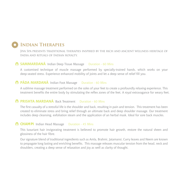

Jiva Spa presents traditional therapies inspired by the rich and ancient wellness heritage of INDIA AND RITUALS OF INDIAN ROYALTY

#### **1) SAMMARDANA** Indian Deep Tissue Massage Duration - 60 Mins

A customised technique of muscle massage performed by specially-trained hands, which works on your deep-seated stress. Experience enhanced mobility of joints and let a deep sense of relief fill you.

## 1 PĀDA MARDANĀ Indian Foot Massage Duration - 60 Mins

A sublime massage treatment performed on the soles of your feet to create a profoundly relaxing experience. This treatment benefits the entire body by stimulating the reflex zones of the feet. A royal extravagance for weary feet.

### **1 PRISHTA MARDANA** Back Treatment Duration - 60 Mins

The first casualty of a stressful life is the shoulder and back, resulting in pain and tension. This treatment has been created to eliminate stress and bring relief through an ultimate back and deep shoulder massage. Our treatment includes deep cleansing, exfoliation steam and the application of an herbal mask. Ideal for sore back muscles.

#### CHAMPI Indian Head Massage Duration - 45 Mins

This luxuriant hair invigorating treatment is believed to promote hair growth, restore the natural sheen and glossiness of the hair fibre.

Our signature blend of traditional ingredients such as Amla, Brahmi, Jatamansi, Curry leaves and Neem are known to propagate long lasting and enriching benefits. This massage releases muscular tension from the head, neck and shoulders, creating a deep sense of relaxation and joy as well as clarity of thought.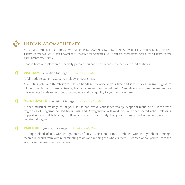

## **INDIAN AROMATHERAPY**

AROMATIC OIL BLENDS FROM AYURVEDA PHARMACOPOEIAS HAVE BEEN CAREFULLY CHOSEN FOR THESE TREATMENTS, WHICH HAVE POWERFUL HEALING PROPERTIES, ALL INGREDIENTS USED FOR THESE TREATMENTS ARE NATIVE TO INDIA.

Choose from our selection of specially prepared signature oil blends to meet your need of the day.

#### $\mathbf{\Omega}$ **VISHRAM** Relaxation Massage Duration - 60 Mins

A full-body relaxing massage to melt away your stress.

Alternating palm and thumb strokes, skilled hands gently work on your tired and sore muscles. Fragrant signature oil blends with the richness of Kewda, Frankincense and Brahmi, infused in Sandalwood and Sesame are used for this massage to release tension, bringing ease and tranquillity to your entire system.

#### $\mathbf{\Lambda}$ **ORJA DAYAKA** Energising Massage Duration - 60 Mins

A deep-muscular massage to lift your spirits and revive your inner vitality. A special blend of oil, laced with fragrances of Nagarmotha, Patchouli, Tulsi and Aswagandha, will work on your deep-seated aches, releasing trapped nerves and balancing the flow of energy in your body. Every joint, muscle and sinew will pulse with new-found vigour.

#### $\mathbf{\Omega}$ **PAVITHRI** Lymphatic Drainage Duration - 60 Mins

A unique blend of oils with the goodness of Tulsi, Ginger and Lime, combined with the lymphatic drainage technique, works from within, eliminating toxins and refining the whole system. Cleansed anew, you will face the world again revived and re-energised.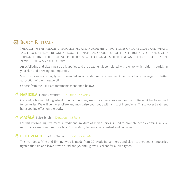## **参 BODY RITUALS**

INDULGE IN THE RELAXING. EXFOLIATING AND NOURISHING PROPERTIES OF OUR SCRUBS AND WRAPS. EACH EXCLUSIVELY PREPARED FROM THE NATURAL GOODNESS OF FRESH FRUITS, VEGETABLES AND INDIAN HERBS. THE HEALING PROPERTIES WILL CLEANSE, MOISTURISE AND REFRESH YOUR SKIN. PRODUCING A NATURAL GLOW.

An exfoliating and cleansing scrub is applied and the treatment is completed with a wrap, which aids in nourishing vour skin and drawing out impurities.

Scrubs & Wraps are highly recommended as an additional spa treatment before a body massage for better absorption of the massage oil.

Choose from the luxuriant treatments mentioned below:

## 1 **NARIKELA** House Favourite Duration - 45 Mins

Coconut, a household ingredient in India, has many uses to its name. As a natural skin softener, it has been used for centuries. We will gently exfoliate and moisturise your body with a mix of ingredients. This all-over treatment has a cooling effect on the body.

#### () MASĀLĀ Spice Scrub Duration - 45 Mins

For this invigorating treatment, a traditional mixture of Indian spices is used to promote deep cleansing, relieve muscular soreness and improve blood circulation, leaving you refreshed and recharged.

#### **1 PRITHVI MRIT** Farth's Nectar Duration - 45 Mins

This rich detoxifying and firming wrap is made from 22 exotic Indian herbs and clay. Its therapeutic properties tighten the skin and leave it with a radiant, youthful glow. Excellent for all skin types.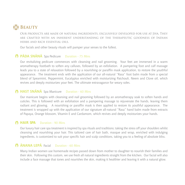## 器 BEAUTY

OUR PRODUCTS ARE MADE OF NATURAL INGREDIENTS, EXCLUSIVELY DEVELOPED FOR USE AT JIVA. THEY ARE CRAFTED WITH AN INHERENT UNDERSTANDING OF THE THERAPEUTIC GOODNESS OF INDIAN HERBS AND RICH ESSENTIAL OILS.

Our facials and other beauty rituals will pamper your senses to the fullest.

#### **1) PĀDA SNĀNĀ** Spa Pedicure Duration - 75 Mins

Our revitalizing pedicure commences with cleansing and nail grooming. Your feet are immersed in a warm aromatherapy footbath to soften any calluses, followed by an exfoliation. A pampering foot and calf massage leads you to a state of relaxation followed by a nourishing or paraffin mask application, to restore the youthful appearance. The treatment ends with the application of our all-natural "Rasa" foot balm made from a special blend of Spearmint, Peppermint, Eucalyptus enriched with moisturizing Patchouli, Neem and Clove oil, which revives and deeply moisturizes your feet. The ultimate extravagance for weary soles.

#### **11 HAST SNĀNĀ** Spa Manicure Duration - 60 Mins

Our manicure begins with cleansing and nail grooming followed by an aromatherapy soak to soften hands and cuticles. This is followed with an exfoliation and a pampering massage to rejuvenate the hands, leaving them radiant and glowing. A nourishing or paraffin mask is then applied to restore its youthful appearance. The treatment is wrapped up with the application of our signature all-natural "Rasa" hand balm made from extracts of Papaya, Orange blossom, Vitamin E and Cardamom, which revives and deeply moisturizes your hands.

#### **N** HAIR SPA Duration - 90 Mins

Our luxury hair care spa treatment is inspired by spa rituals and traditions; taking the stress off your shoulders whilst cleansing and nourishing your hair. This tailored care of hair bath, masque and wrap, enriched with indulging ingredients, is customized to suit your specific hair and scalp conditions, taking you to a feeling of absolute bliss.

#### **1 ANANA LEPA** Facial **Duration - 60 Mins**

Many Indian women use homemade recipes passed down from mother to daughter to nourish their families and their skin. Following this custom, we use fresh all natural ingredients straight from the kitchen. Our facial will also include a face massage that tones and nourishes the skin, making it healthier and leaving it with a natural glow.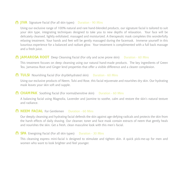#### 1 JIVA Signature Facial (For all skin types) Duration - 90 Mins

Using our exclusive range of 100% natural and rare hand-blended products, our signature facial is tailored to suit your skin type, integrating techniques designed to take you to new depths of relaxation. Your face will be delicately cleansed, lightly exfoliated, massaged and moisturized. A therapeutic mask completes this wonderfully relaxing treatment. Your hands and feet will be gently massaged during the facemask. Immerse yourself in this luxurious experience for a balanced and radiant glow. Your treatment is complimented with a full back massage and a fresh juice.

#### (1) JAMAROSA ROOT Deep Cleansing Facial (For oily and acne prone skin) Duration - 60 Mins

This treatment focuses on deep cleansing using our natural hand-made products. The key ingredients of Green Tea, Jamarosa Root and Ginger lend properties that offer a visible difference and a clearer complexion.

#### (1) TULSI Nourishing Facial (For dry/dehydrated skin) Duration - 60 Mins

Using our exclusive products of Neem, Tulsi and Rose, this facial rejuvenate and nourishes dry skin. Our hydrating mask leaves your skin soft and supple.

#### (CHAMPAK Soothing Facial (For normal/sensitive skin) Duration - 60 Mins

A balancing facial using Magnolia, Lavender and Jasmine to soothe, calm and restore the skin's natural texture and radiance.

#### **1) NEEM FACIAL** For Gentlemen Duration - 60 Mins

Our deeply cleansing and hydrating facial defends the skin against age-defying radicals and protects the skin from the harsh effects of daily shaving. Our cleanser, toner and face mask contain extracts of neem that gently heals and nourishes the skin. Get a fresh, clean masculine look with this men's facial.

#### **SPA** Energising Facial (For all skin types) Duration - 30 Mins

This cleansing express mini-facial is designed to stimulate and tighten skin. A quick pick-me-up for men and women who want to look brighter and feel younger.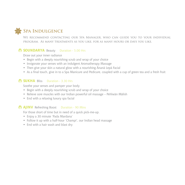

## **SPA INDULGENCE**

WE RECOMMEND CONTACTING OUR SPA MANAGER, WHO CAN GUIDE YOU TO YOUR INDIVIDUAL PROGRAM. AS MANY TREATMENTS AS YOU LIKE, FOR AS MANY HOURS OR DAYS YOU LIKE.

### **1 SOUNDARYA** Beauty Duration - 5.00 Hrs

Draw out your inner radiance

- Begin with a deeply nourishing scrub and wrap of your choice
- Invigorate your senses with an indulgent Aromatherapy Massage
- Then give your skin a natural glow with a nourishing Anana Lepa Facial
- As a final touch, give in to a Spa Manicure and Pedicure, coupled with a cup of green tea and a fresh fruit

### **1 SUKHA** Bliss Duration - 3.30 Hrs

Soothe your senses and pamper your body

- Begin with a deeply nourishing scrub and wrap of your choice
- Relieve sore muscles with our Indian powerful oil massage Pehlwān Mālish
- End with a relaxing luxury spa facial

#### ( AJINV Refreshing Boost Duration - 90 Mins

For those short of time but in need of a quick pick-me-up.

- · Enjoy a 30 minute 'Pada Mardana'
- Follow it up with a half-hour 'Champi', our Indian head massage
- End with a hair wash and blast dry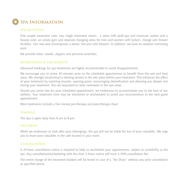

#### **SPA FACILITIES**

One couple treatment suite, two single treatment rooms, a salon with pedi-spa and manicure station and a beauty suite, an unisex gym and separate changing areas for men and women with lockers, change and shower facilities. Our wet area encompasses a steam, hot and cold showers. In addition, we have an outdoor swimming pool.

We provide robes, towels, slippers and personal amenities.

#### **RESERVATION & TREATMENTS**

Advanced bookings for spa treatments are highly recommended to avoid disappointment.

We encourage you to arrive 30 minutes prior to the scheduled appointment to benefit from the wet and heat areas. We strongly recommend a relaxing session in the wet areas before your treatment. This enhances the effect of your treatment by warming muscles, opening pores, encouraging detoxification and allowing you deeper rest during your treatment. You are requested to wear swimwear in the wet areas.

Should you arrive late for your scheduled appointment, we endeavour to accommodate you to the best of our abilities. Your treatment time may be shortened or rescheduled to avoid any inconvenience to the next guest appointment.

Most treatments include a five minute pre-therapy and post-therapy ritual.

#### **TIMINGS**

The Spa is open daily from 8 am to 8 pm

#### **VALUABLES**

While we endeavour to look after your belongings, the spa will not be liable for loss of your valuables. We urge you to leave your valuables in the safe located in your room.

#### **CANCELLATION**

A 24-hour cancellation notice is required to help us reschedule your appointment, subject to availability at the spa. Any cancellation/rescheduling with less than 3 hours notice will incur a 50% cancellation fee.

The entire charge of the treatment booked will be levied in case of a "No Show" without any prior cancellation as specified above.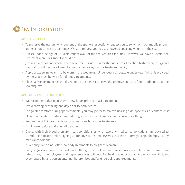

#### **SPA ETIQUETTE**

- To preserve the tranguil environment of the spa, we respectfully request you to switch off your mobile phones and electronic devices at all times. We also request you to use a lowered speaking volume in the spa.
- \* Guests under the age of 16 years cannot avail of the spa wet area facilities. However, we have a special spa treatment menu designed for children.
- Jiva is an alcohol and smoke free environment. Guests under the influence of alcohol, high energy drugs and medication will not be allowed to use the wet areas, gym or treatment facility.
- Appropriate swim wear is to be worn in the wet areas. Underwear / disposable underwear (which is provided by the spa) must be worn for all body treatments.
- The Spa Management has the discretion to ask a guest to leave the premises in case of non adherence to the spa etiquette.

#### **SPECIAL CONSIDERATIONS**

- We recommend that men shave a few hours prior to a facial treatment
- Avoid shaving or waxing one day prior to body scrubs.
- For greater comfort during spa treatments, you may prefer to remove hearing aids, spectacles or contact lenses.
- Please note certain muds/oils used during some treatments may stain the skin or clothing.
- Rest and avoid vigorous activity for at least one hour after treatments.
- Drink water before and after all treatments.
- \* Guests with high blood pressure, heart conditions or who have any medical complications, are advised to consult their doctors before signing up for any spa treatments/services. Please inform your spa therapist of any medical conditions.
- As a policy, we do not offer spa body treatments to pregnant women.
- Entry to Jiva is at guests own risk and although strict policies and procedures are implemented to maximise safety. Jiva, its employees and representatives will not be held liable or accountable for any incident experienced by any person entering the premises and/or undergoing spa treatments.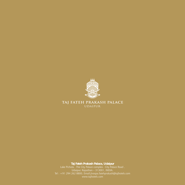

## TAJ FATEH PRAKASH PALACE **UDAIPUR**

**Taj Fateh Prakash Palace, Udaipur** Udaipur, Rajasthan – 313001, INDIA. Tel : +91 294 262 8800, Email:jivaspa.fatehprakash@tajhotels.com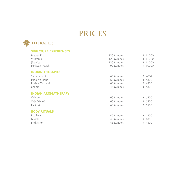# **PRICES**



#### **SIGNATURE EXPERIENCES**

| Mewar Khas                 | 120 Minutes | ₹ 11000 |
|----------------------------|-------------|---------|
| Vishrāma                   | 120 Minutes | ₹ 11000 |
| Jivaniya                   | 120 Minutes | ₹ 11000 |
| Pehlwän Mälish             | 90 Minutes  | ₹ 10000 |
| <b>INDIAN THERAPIES</b>    |             |         |
| Sammardanā                 | 60 Minutes  | ₹ 6500  |
| Pāda Mardanā               | 60 Minutes  | ₹ 4800  |
| Prishta Mardanā            | 60 Minutes  | ₹ 4800  |
| Champi                     | 45 Minutes  | ₹ 4800  |
| <b>INDIAN AROMATHERAPY</b> |             |         |
| Vishrām                    | 60 Minutes  | ₹ 6500  |
| Orja Dāyakā                | 60 Minutes  | ₹ 6500  |
| Pavithri                   | 60 Minutes  | ₹ 6500  |
| <b>BODY RITUALS</b>        |             |         |
| Narikelā                   | 45 Minutes  | ₹ 4800  |
| Masālā                     | 45 Minutes  | ₹ 4800  |
| Prithvi Mrit               | 45 Minutes  | ₹ 4800  |
|                            |             |         |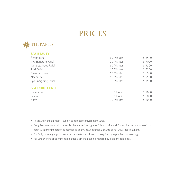# **PRICES**



#### **SPA BEAUTY**

| Anana Lepā            | 60 Minutes | ₹ 6500 |
|-----------------------|------------|--------|
| Jiva Signature Facial | 90 Minutes | ₹ 7000 |
| Jamarosa Root Facial  | 60 Minutes | ₹ 5500 |
| Tulsi Facial          | 60 Minutes | ₹ 5500 |
| Champak Facial        | 60 Minutes | ₹ 5500 |
| Neem Facial           | 60 Minutes | ₹ 5500 |
| Spa Energising Facial | 30 Minutes | ₹ 3500 |

#### **SPA INDULGENCE**

| Soundarya | 5 Hours    | ₹ 20000 |
|-----------|------------|---------|
| Sukha     | 3.5 Hours  | ₹ 18000 |
| Ajinv     | 90 Minutes | ₹ 6000  |

- Prices are in Indian rupees, subject to applicable government taxes.
- Body Treatments can also be availed by non-resident guests, 2 hours prior and 2 hours beyond spa operational hours with prior intimation as mentioned below, at an additional charge of Rs.1200/- per treatment.
- For Early morning appointments i.e. before 8 am intimation is required by 6 pm the prior evening.
- For Late evening appointments i.e. after 8 pm intimation is required by 6 pm the same day.